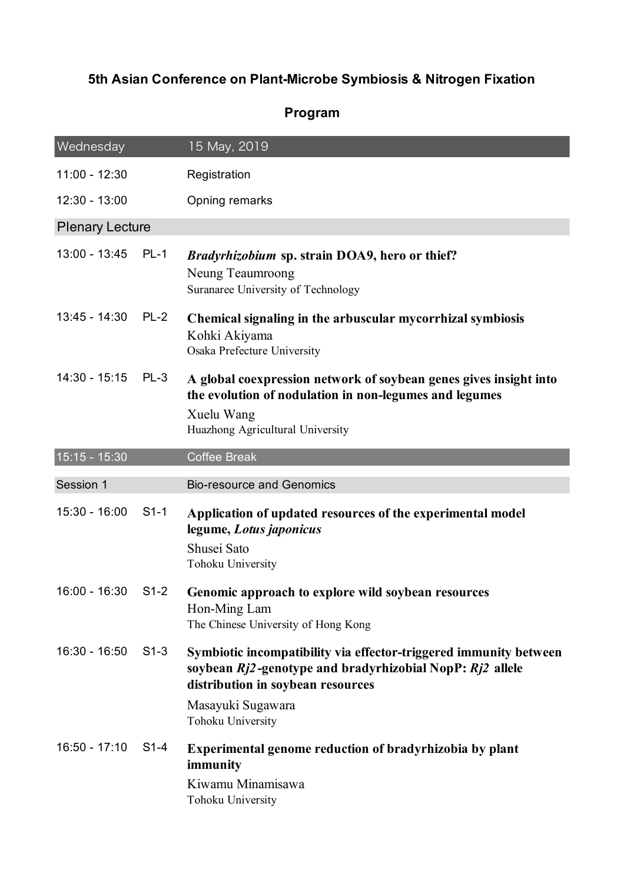## **5th Asian Conference on Plant-Microbe Symbiosis & Nitrogen Fixation**

## **Program**

| Wednesday              |        | 15 May, 2019                                                                                                                                                                                                 |  |  |  |
|------------------------|--------|--------------------------------------------------------------------------------------------------------------------------------------------------------------------------------------------------------------|--|--|--|
| $11:00 - 12:30$        |        | Registration                                                                                                                                                                                                 |  |  |  |
| 12:30 - 13:00          |        | Opning remarks                                                                                                                                                                                               |  |  |  |
| <b>Plenary Lecture</b> |        |                                                                                                                                                                                                              |  |  |  |
| 13:00 - 13:45          | $PL-1$ | <i>Bradyrhizobium</i> sp. strain DOA9, hero or thief?<br>Neung Teaumroong<br>Suranaree University of Technology                                                                                              |  |  |  |
| $13:45 - 14:30$        | $PL-2$ | Chemical signaling in the arbuscular mycorrhizal symbiosis<br>Kohki Akiyama<br>Osaka Prefecture University                                                                                                   |  |  |  |
| $14:30 - 15:15$        | $PL-3$ | A global coexpression network of soybean genes gives insight into<br>the evolution of nodulation in non-legumes and legumes<br>Xuelu Wang<br>Huazhong Agricultural University                                |  |  |  |
| 15:15 - 15:30          |        | <b>Coffee Break</b>                                                                                                                                                                                          |  |  |  |
|                        |        |                                                                                                                                                                                                              |  |  |  |
| Session 1              |        | <b>Bio-resource and Genomics</b>                                                                                                                                                                             |  |  |  |
| 15:30 - 16:00          | $S1-1$ | Application of updated resources of the experimental model<br>legume, Lotus japonicus<br>Shusei Sato<br>Tohoku University                                                                                    |  |  |  |
| 16:00 - 16:30          | $S1-2$ | Genomic approach to explore wild soybean resources<br>Hon-Ming Lam<br>The Chinese University of Hong Kong                                                                                                    |  |  |  |
| $16:30 - 16:50$        | $S1-3$ | Symbiotic incompatibility via effector-triggered immunity between<br>soybean Rj2-genotype and bradyrhizobial NopP: Rj2 allele<br>distribution in soybean resources<br>Masayuki Sugawara<br>Tohoku University |  |  |  |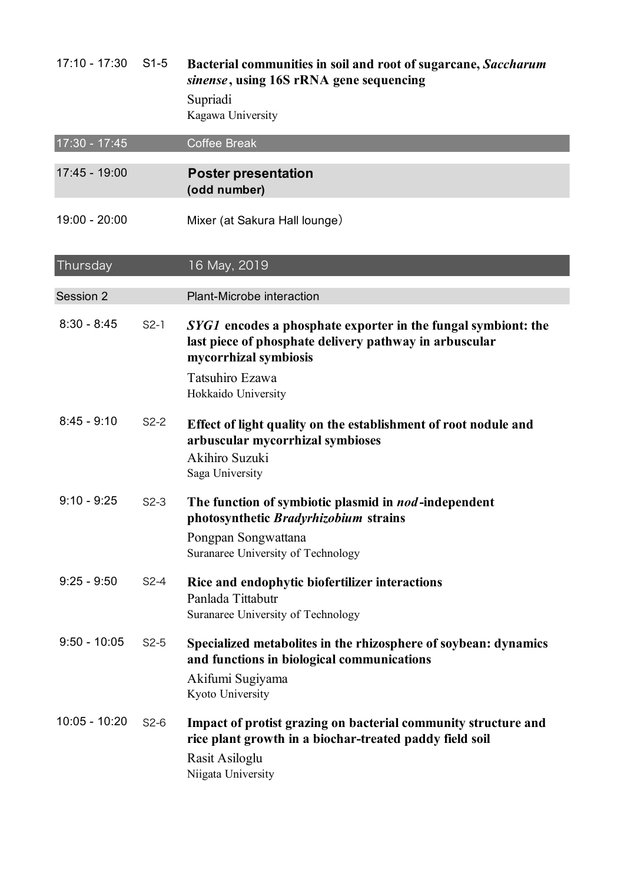| $17:10 - 17:30$ | $S1-5$ | Bacterial communities in soil and root of sugarcane, Saccharum<br>sinense, using 16S rRNA gene sequencing<br>Supriadi<br>Kagawa University                        |
|-----------------|--------|-------------------------------------------------------------------------------------------------------------------------------------------------------------------|
| 17:30 - 17:45   |        | <b>Coffee Break</b>                                                                                                                                               |
| 17:45 - 19:00   |        | <b>Poster presentation</b><br>(odd number)                                                                                                                        |
| 19:00 - 20:00   |        | Mixer (at Sakura Hall lounge)                                                                                                                                     |
| Thursday        |        | 16 May, 2019                                                                                                                                                      |
| Session 2       |        | Plant-Microbe interaction                                                                                                                                         |
| $8:30 - 8:45$   | $S2-1$ | <i>SYG1</i> encodes a phosphate exporter in the fungal symbiont: the<br>last piece of phosphate delivery pathway in arbuscular<br>mycorrhizal symbiosis           |
|                 |        | Tatsuhiro Ezawa<br>Hokkaido University                                                                                                                            |
| $8:45 - 9:10$   | $S2-2$ | Effect of light quality on the establishment of root nodule and<br>arbuscular mycorrhizal symbioses<br>Akihiro Suzuki<br>Saga University                          |
| $9:10 - 9:25$   | $S2-3$ | The function of symbiotic plasmid in nod-independent<br>photosynthetic <i>Bradyrhizobium</i> strains<br>Pongpan Songwattana<br>Suranaree University of Technology |
| $9:25 - 9:50$   | $S2-4$ | Rice and endophytic biofertilizer interactions<br>Panlada Tittabutr<br>Suranaree University of Technology                                                         |
| $9:50 - 10:05$  | $S2-5$ | Specialized metabolites in the rhizosphere of soybean: dynamics<br>and functions in biological communications<br>Akifumi Sugiyama<br>Kyoto University             |
| 10:05 - 10:20   | $S2-6$ | Impact of protist grazing on bacterial community structure and<br>rice plant growth in a biochar-treated paddy field soil<br>Rasit Asiloglu<br>Niigata University |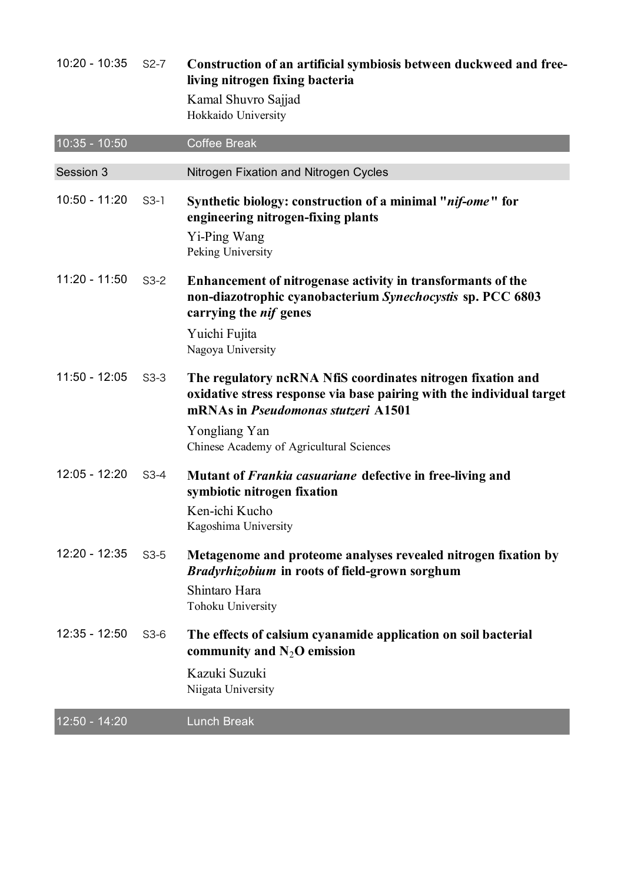| $10:20 - 10:35$ | $S2-7$ | Construction of an artificial symbiosis between duckweed and free-<br>living nitrogen fixing bacteria<br>Kamal Shuvro Sajjad<br>Hokkaido University                                |
|-----------------|--------|------------------------------------------------------------------------------------------------------------------------------------------------------------------------------------|
| 10:35 - 10:50   |        | <b>Coffee Break</b>                                                                                                                                                                |
| Session 3       |        | Nitrogen Fixation and Nitrogen Cycles                                                                                                                                              |
| $10:50 - 11:20$ | $S3-1$ | Synthetic biology: construction of a minimal " <i>nif-ome</i> " for<br>engineering nitrogen-fixing plants<br>Yi-Ping Wang<br>Peking University                                     |
| $11:20 - 11:50$ | $S3-2$ | Enhancement of nitrogenase activity in transformants of the<br>non-diazotrophic cyanobacterium Synechocystis sp. PCC 6803<br>carrying the <i>nif</i> genes<br>Yuichi Fujita        |
|                 |        | Nagoya University                                                                                                                                                                  |
| $11:50 - 12:05$ | $S3-3$ | The regulatory ncRNA NfiS coordinates nitrogen fixation and<br>oxidative stress response via base pairing with the individual target<br>mRNAs in <i>Pseudomonas stutzeri</i> A1501 |
|                 |        | Yongliang Yan<br>Chinese Academy of Agricultural Sciences                                                                                                                          |
| $12:05 - 12:20$ | $S3-4$ | Mutant of <i>Frankia casuariane</i> defective in free-living and<br>symbiotic nitrogen fixation                                                                                    |
|                 |        | Ken-ichi Kucho<br>Kagoshima University                                                                                                                                             |
| $12:20 - 12:35$ | $S3-5$ | Metagenome and proteome analyses revealed nitrogen fixation by<br><b>Bradyrhizobium in roots of field-grown sorghum</b><br>Shintaro Hara<br>Tohoku University                      |
| $12:35 - 12:50$ | $S3-6$ | The effects of calsium cyanamide application on soil bacterial<br>community and $N_2O$ emission                                                                                    |
|                 |        | Kazuki Suzuki<br>Niigata University                                                                                                                                                |
| 12:50 - 14:20   |        | <b>Lunch Break</b>                                                                                                                                                                 |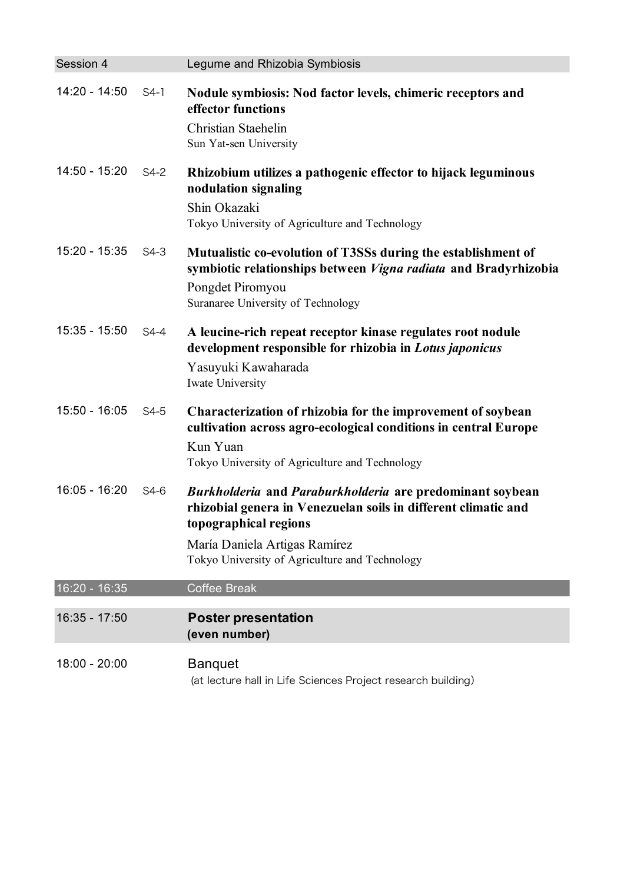| Session 4       |        | Legume and Rhizobia Symbiosis                                                                                                                                                                                                           |
|-----------------|--------|-----------------------------------------------------------------------------------------------------------------------------------------------------------------------------------------------------------------------------------------|
| 14:20 - 14:50   | $S4-1$ | Nodule symbiosis: Nod factor levels, chimeric receptors and<br>effector functions<br><b>Christian Staehelin</b><br>Sun Yat-sen University                                                                                               |
| 14:50 - 15:20   | $S4-2$ | Rhizobium utilizes a pathogenic effector to hijack leguminous<br>nodulation signaling<br>Shin Okazaki<br>Tokyo University of Agriculture and Technology                                                                                 |
| 15:20 - 15:35   | $S4-3$ | Mutualistic co-evolution of T3SSs during the establishment of<br>symbiotic relationships between <i>Vigna radiata</i> and Bradyrhizobia<br>Pongdet Piromyou<br>Suranaree University of Technology                                       |
| $15:35 - 15:50$ | $S4-4$ | A leucine-rich repeat receptor kinase regulates root nodule<br>development responsible for rhizobia in Lotus japonicus<br>Yasuyuki Kawaharada<br>Iwate University                                                                       |
| $15:50 - 16:05$ | $S4-5$ | Characterization of rhizobia for the improvement of soybean<br>cultivation across agro-ecological conditions in central Europe<br>Kun Yuan<br>Tokyo University of Agriculture and Technology                                            |
| 16:05 - 16:20   | S4-6   | Burkholderia and Paraburkholderia are predominant soybean<br>rhizobial genera in Venezuelan soils in different climatic and<br>topographical regions<br>María Daniela Artigas Ramírez<br>Tokyo University of Agriculture and Technology |
| 16:20 - 16:35   |        | <b>Coffee Break</b>                                                                                                                                                                                                                     |
| 16:35 - 17:50   |        | <b>Poster presentation</b><br>(even number)                                                                                                                                                                                             |
| 18:00 - 20:00   |        | <b>Banquet</b><br>(at lecture hall in Life Sciences Project research building)                                                                                                                                                          |